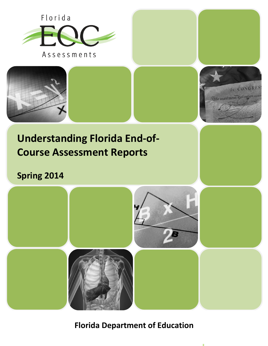



**Florida Department of Education**

 $\mathbb{H}$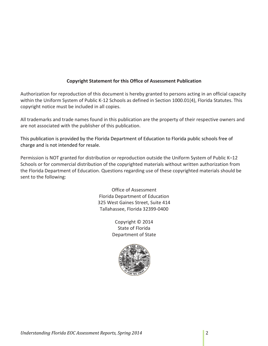# **Copyright Statement for this Office of Assessment Publication**

Authorization for reproduction of this document is hereby granted to persons acting in an official capacity within the Uniform System of Public K-12 Schools as defined in Section 1000.01(4), Florida Statutes. This copyright notice must be included in all copies.

All trademarks and trade names found in this publication are the property of their respective owners and are not associated with the publisher of this publication.

This publication is provided by the Florida Department of Education to Florida public schools free of charge and is not intended for resale.

Permission is NOT granted for distribution or reproduction outside the Uniform System of Public K–12 Schools or for commercial distribution of the copyrighted materials without written authorization from the Florida Department of Education. Questions regarding use of these copyrighted materials should be sent to the following:

> Office of Assessment Florida Department of Education 325 West Gaines Street, Suite 414 Tallahassee, Florida 32399-0400

> > Copyright © 2014 State of Florida Department of State

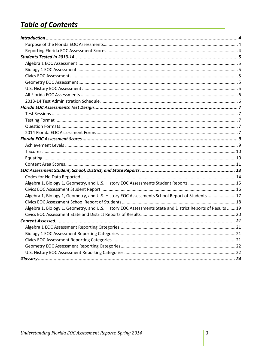# **Table of Contents**

| Algebra 1, Biology 1, Geometry, and U.S. History EOC Assessments Student Reports  15                       |  |
|------------------------------------------------------------------------------------------------------------|--|
|                                                                                                            |  |
| Algebra 1, Biology 1, Geometry, and U.S. History EOC Assessments School Report of Students  17             |  |
|                                                                                                            |  |
| Algebra 1, Biology 1, Geometry, and U.S. History EOC Assessments State and District Reports of Results  19 |  |
|                                                                                                            |  |
|                                                                                                            |  |
|                                                                                                            |  |
|                                                                                                            |  |
|                                                                                                            |  |
|                                                                                                            |  |
|                                                                                                            |  |
|                                                                                                            |  |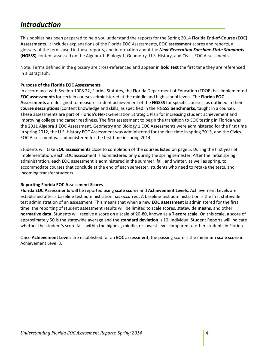# <span id="page-3-0"></span>*Introduction*

This booklet has been prepared to help you understand the reports for the Spring 2014 **Florida End-of-Course (EOC) Assessments**. It includes explanations of the Florida EOC Assessments, **EOC assessment** scores and reports, a glossary of the terms used in these reports, and information about the *Next Generation Sunshine State Standards* **(NGSSS)** content assessed on the Algebra 1, Biology 1, Geometry, U.S. History, and Civics EOC Assessments.

Note: Terms defined in the glossary are cross-referenced and appear in **bold text** the first time they are referenced in a paragraph.

### <span id="page-3-1"></span>**Purpose of the Florida EOC Assessments**

In accordance with Section 1008.22, Florida Statutes, the Florida Department of Education (FDOE) has implemented **EOC assessments** for certain courses administered at the middle and high school levels. The **Florida EOC Assessments** are designed to measure student achievement of the **NGSSS** for specific courses, as outlined in their **course descriptions** (content knowledge and skills, as specified in the NGSSS **benchmarks**, taught in a course). These assessments are part of Florida's Next Generation Strategic Plan for increasing student achievement and improving college and career readiness. The first assessment to begin the transition to EOC testing in Florida was the 2011 Algebra 1 EOC Assessment. Geometry and Biology 1 EOC Assessments were administered for the first time in spring 2012, the U.S. History EOC Assessment was administered for the first time in spring 2013, and the Civics EOC Assessment was administered for the first time in spring 2014.

Students will take **EOC assessments** close to completion of the courses listed on page 5. During the first year of implementation, each EOC assessment is administered only during the spring semester. After the initial spring administration, each EOC assessment is administered in the summer, fall, and winter, as well as spring, to accommodate courses that conclude at the end of each semester, students who need to retake the tests, and incoming transfer students.

### <span id="page-3-2"></span>**Reporting Florida EOC Assessment Scores**

**Florida EOC Assessments** will be reported using **scale scores** and **Achievement Levels**. Achievement Levels are established after a baseline test administration has occurred. A baseline test administration is the first statewide test administration of an assessment. This means that when a new **EOC assessment** is administered for the first time, the reporting of student assessment results will be limited to scale scores, statewide **means**, and other **normative data**. Students will receive a score on a scale of 20-80, known as a **T-score scale**. On this scale, a score of approximately 50 is the statewide average and the **standard deviation** is 10. Individual Student Reports will indicate whether the student's score falls within the highest, middle, or lowest level compared to other students in Florida.

Once **Achievement Levels** are established for an **EOC assessment**, the passing score is the minimum **scale score** in Achievement Level 3.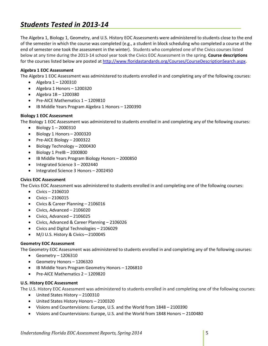# <span id="page-4-0"></span>*Students Tested in 2013-14*

The Algebra 1, Biology 1, Geometry, and U.S. History EOC Assessments were administered to students close to the end of the semester in which the course was completed (e.g., a student in block scheduling who completed a course at the end of semester one took the assessment in the winter). Students who completed one of the Civics courses listed below at any time during the 2013-14 school year took the Civics EOC Assessment in the spring. **Course descriptions** for the courses listed below are posted at [http://www.floridastandards.org/Courses/CourseDescriptionSearch.aspx.](http://www.floridastandards.org/Courses/CourseDescriptionSearch.aspx)

## <span id="page-4-1"></span>**Algebra 1 EOC Assessment**

The Algebra 1 EOC Assessment was administered to students enrolled in and completing any of the following courses:

- Algebra  $1 1200310$
- Algebra 1 Honors 1200320
- Algebra 1B 1200380
- Pre-AICE Mathematics 1 1209810
- IB Middle Years Program Algebra 1 Honors 1200390

## <span id="page-4-2"></span>**Biology 1 EOC Assessment**

The Biology 1 EOC Assessment was administered to students enrolled in and completing any of the following courses:

- Biology  $1 2000310$
- Biology 1 Honors 2000320
- Pre-AICE Biology 2000322
- Biology Technology 2000430
- Biology 1 PreIB 2000800
- IB Middle Years Program Biology Honors 2000850
- Integrated Science 3 2002440
- Integrated Science 3 Honors 2002450

### <span id="page-4-3"></span>**Civics EOC Assessment**

The Civics EOC Assessment was administered to students enrolled in and completing one of the following courses:

- Civics 2106010
- Civics 2106015
- Civics & Career Planning 2106016
- Civics, Advanced 2106020
- Civics, Advanced 2106025
- Civics, Advanced & Career Planning 2106026
- Civics and Digital Technologies 2106029
- M/J U.S. History & Civics—2100045

### <span id="page-4-4"></span>**Geometry EOC Assessment**

The Geometry EOC Assessment was administered to students enrolled in and completing any of the following courses:

- Geometry 1206310
- Geometry Honors 1206320
- IB Middle Years Program Geometry Honors 1206810
- Pre-AICE Mathematics 2 1209820

### <span id="page-4-5"></span>**U.S. History EOC Assessment**

The U.S. History EOC Assessment was administered to students enrolled in and completing one of the following courses:

- United States History 2100310
- United States History Honors 2100320
- Visions and Countervisions: Europe, U.S. and the World from 1848 2100390
- Visions and Countervisions: Europe, U.S. and the World from 1848 Honors 2100480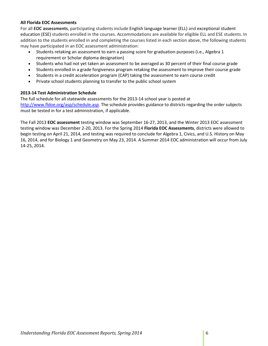## <span id="page-5-0"></span>**All Florida EOC Assessments**

For all **EOC assessments**, participating students include English language learner (ELL) and exceptional student education (ESE) students enrolled in the courses. Accommodations are available for eligible ELL and ESE students. In addition to the students enrolled in and completing the courses listed in each section above, the following students may have participated in an EOC assessment administration:

- Students retaking an assessment to earn a passing score for graduation purposes (i.e., Algebra 1 requirement or Scholar diploma designation)
- Students who had not yet taken an assessment to be averaged as 30 percent of their final course grade
- Students enrolled in a grade forgiveness program retaking the assessment to improve their course grade
- Students in a credit acceleration program (CAP) taking the assessment to earn course credit
- Private school students planning to transfer to the public school system

## <span id="page-5-1"></span>**2013-14 Test Administration Schedule**

The full schedule for all statewide assessments for the 2013-14 school year is posted at [http://www.fldoe.org/asp/schedule.asp.](http://www.fldoe.org/asp/schedule.asp) The schedule provides guidance to districts regarding the order subjects must be tested in for a test administration, if applicable.

The Fall 2013 **EOC assessment** testing window was September 16-27, 2013, and the Winter 2013 EOC assessment testing window was December 2-20, 2013. For the Spring 2014 **Florida EOC Assessments**, districts were allowed to begin testing on April 21, 2014, and testing was required to conclude for Algebra 1, Civics, and U.S. History on May 16, 2014, and for Biology 1 and Geometry on May 23, 2014. A Summer 2014 EOC administration will occur from July 14-25, 2014.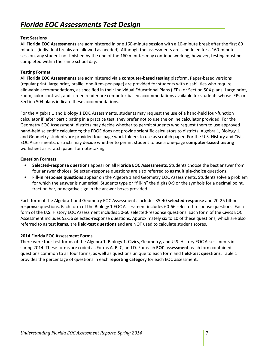## <span id="page-6-1"></span><span id="page-6-0"></span>**Test Sessions**

All **Florida EOC Assessments** are administered in one 160-minute session with a 10-minute break after the first 80 minutes (individual breaks are allowed as needed). Although the assessments are scheduled for a 160-minute session, any student not finished by the end of the 160 minutes may continue working; however, testing must be completed within the same school day.

## <span id="page-6-2"></span>**Testing Format**

All **Florida EOC Assessments** are administered via a **computer-based testing** platform. Paper-based versions (regular print, large print, braille, one-item-per-page) are provided for students with disabilities who require allowable accommodations, as specified in their Individual Educational Plans (IEPs) or Section 504 plans. Large print, zoom, color contrast, and screen reader are computer-based accommodations available for students whose IEPs or Section 504 plans indicate these accommodations.

For the Algebra 1 and Biology 1 EOC Assessments, students may request the use of a hand-held four-function calculator if, after participating in a practice test, they prefer not to use the online calculator provided. For the Geometry EOC Assessment, districts may decide whether to permit students who request them to use approved hand-held scientific calculators; the FDOE does not provide scientific calculators to districts. Algebra 1, Biology 1, and Geometry students are provided four-page work folders to use as scratch paper. For the U.S. History and Civics EOC Assessments, districts may decide whether to permit student to use a one-page **computer-based testing** worksheet as scratch paper for note-taking.

### <span id="page-6-3"></span>**Question Formats**

- **Selected-response questions** appear on all **Florida EOC Assessments**. Students choose the best answer from four answer choices. Selected-response questions are also referred to as **multiple-choice** questions.
- **Fill-in response questions** appear on the Algebra 1 and Geometry EOC Assessments. Students solve a problem for which the answer is numerical. Students type or "fill-in" the digits 0-9 or the symbols for a decimal point, fraction bar, or negative sign in the answer boxes provided.

Each form of the Algebra 1 and Geometry EOC Assessments includes 35-40 **selected-response** and 20-25 **fill-in response** questions. Each form of the Biology 1 EOC Assessment includes 60-66 selected-response questions. Each form of the U.S. History EOC Assessment includes 50-60 selected-response questions. Each form of the Civics EOC Assessment includes 52-56 selected-response questions. Approximately six to 10 of these questions, which are also referred to as test **items**, are **field-test questions** and are NOT used to calculate student scores.

### <span id="page-6-4"></span>**2014 Florida EOC Assessment Forms**

There were four test forms of the Algebra 1, Biology 1, Civics, Geometry, and U.S. History EOC Assessments in spring 2014. These forms are coded as Forms A, B, C, and D. For each **EOC assessment**, each form contained questions common to all four forms, as well as questions unique to each form and **field-test questions**. Table 1 provides the percentage of questions in each **reporting category** for each EOC assessment.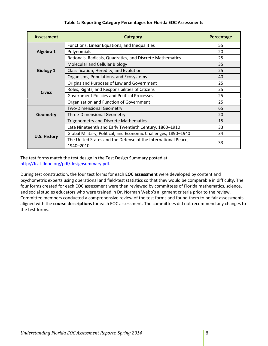| <b>Assessment</b>   | Category                                                                   | Percentage |
|---------------------|----------------------------------------------------------------------------|------------|
|                     | Functions, Linear Equations, and Inequalities                              | 55         |
| Algebra 1           | Polynomials                                                                | 20         |
|                     | Rationals, Radicals, Quadratics, and Discrete Mathematics                  | 25         |
|                     | Molecular and Cellular Biology                                             | 35         |
| <b>Biology 1</b>    | Classification, Heredity, and Evolution                                    | 25         |
|                     | Organisms, Populations, and Ecosystems                                     | 40         |
|                     | Origins and Purposes of Law and Government                                 | 25         |
| <b>Civics</b>       | Roles, Rights, and Responsibilities of Citizens                            | 25         |
|                     | <b>Government Policies and Political Processes</b>                         | 25         |
|                     | Organization and Function of Government                                    | 25         |
|                     | <b>Two-Dimensional Geometry</b>                                            | 65         |
| <b>Geometry</b>     | <b>Three-Dimensional Geometry</b>                                          | 20         |
|                     | <b>Trigonometry and Discrete Mathematics</b>                               | 15         |
|                     | Late Nineteenth and Early Twentieth Century, 1860-1910                     | 33         |
| <b>U.S. History</b> | Global Military, Political, and Economic Challenges, 1890-1940             | 34         |
|                     | The United States and the Defense of the International Peace,<br>1940-2010 | 33         |

## **Table 1: Reporting Category Percentages for Florida EOC Assessments**

The test forms match the test design in the Test Design Summary posted at [http://fcat.fldoe.org/pdf/designsummary.pdf.](http://fcat.fldoe.org/pdf/designsummary.pdf)

During test construction, the four test forms for each **EOC assessment** were developed by content and psychometric experts using operational and field-test statistics so that they would be comparable in difficulty. The four forms created for each EOC assessment were then reviewed by committees of Florida mathematics, science, and social studies educators who were trained in Dr. Norman Webb's alignment criteria prior to the review. Committee members conducted a comprehensive review of the test forms and found them to be fair assessments aligned with the **course descriptions** for each EOC assessment. The committees did not recommend any changes to the test forms.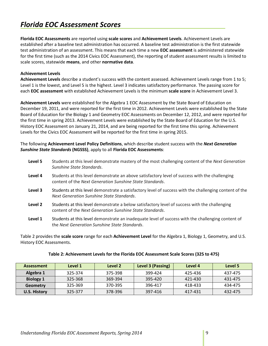# <span id="page-8-0"></span>*Florida EOC Assessment Scores*

**Florida EOC Assessments** are reported using **scale scores** and **Achievement Levels**. Achievement Levels are established after a baseline test administration has occurred. A baseline test administration is the first statewide test administration of an assessment. This means that each time a new **EOC assessment** is administered statewide for the first time (such as the 2014 Civics EOC Assessment), the reporting of student assessment results is limited to scale scores, statewide **means**, and other **normative data**.

## <span id="page-8-1"></span>**Achievement Levels**

**Achievement Levels** describe a student's success with the content assessed. Achievement Levels range from 1 to 5; Level 1 is the lowest, and Level 5 is the highest. Level 3 indicates satisfactory performance. The passing score for each **EOC assessment** with established Achievement Levels is the minimum **scale score** in Achievement Level 3.

**Achievement Levels** were established for the Algebra 1 EOC Assessment by the State Board of Education on December 19, 2011, and were reported for the first time in 2012. Achievement Levels were established by the State Board of Education for the Biology 1 and Geometry EOC Assessments on December 12, 2012, and were reported for the first time in spring 2013. Achievement Levels were established by the State Board of Education for the U.S. History EOC Assessment on January 21, 2014, and are being reported for the first time this spring. Achievement Levels for the Civics EOC Assessment will be reported for the first time in spring 2015.

## The following **Achievement Level Policy Definitions**, which describe student success with the *Next Generation Sunshine State Standards* **(NGSSS)**, apply to all **Florida EOC Assessments**:

| Level 5 | Students at this level demonstrate mastery of the most challenging content of the Next Generation<br>Sunshine State Standards.                             |
|---------|------------------------------------------------------------------------------------------------------------------------------------------------------------|
| Level 4 | Students at this level demonstrate an above satisfactory level of success with the challenging<br>content of the Next Generation Sunshine State Standards. |
| Level 3 | Students at this level demonstrate a satisfactory level of success with the challenging content of the<br>Next Generation Sunshine State Standards.        |
| Level 2 | Students at this level demonstrate a below satisfactory level of success with the challenging<br>content of the Next Generation Sunshine State Standards.  |
| Level 1 | Students at this level demonstrate an inadequate level of success with the challenging content of                                                          |

**Level 1** Students at this level demonstrate an inadequate level of success with the challenging content of the *Next Generation Sunshine State Standards*.

Table 2 provides the **scale score** range for each **Achievement Level** for the Algebra 1, Biology 1, Geometry, and U.S. History EOC Assessments.

| <b>Assessment</b>   | Level 1 | Level 2 | Level 3 (Passing) | Level 4 | Level 5 |
|---------------------|---------|---------|-------------------|---------|---------|
| Algebra 1           | 325-374 | 375-398 | 399-424           | 425-436 | 437-475 |
| <b>Biology 1</b>    | 325-368 | 369-394 | 395-420           | 421-430 | 431-475 |
| Geometry            | 325-369 | 370-395 | 396-417           | 418-433 | 434-475 |
| <b>U.S. History</b> | 325-377 | 378-396 | 397-416           | 417-431 | 432-475 |

### **Table 2: Achievement Levels for the Florida EOC Assessment Scale Scores (325 to 475)**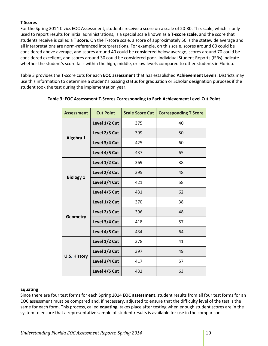## <span id="page-9-0"></span>**T Scores**

For the Spring 2014 Civics EOC Assessment, students receive a score on a scale of 20-80. This scale, which is only used to report results for initial administrations, is a special scale known as a **T-score scale,** and the score that students receive is called a **T score**. On the T-score scale, a score of approximately 50 is the statewide average and all interpretations are norm-referenced interpretations. For example, on this scale, scores around 60 could be considered above average, and scores around 40 could be considered below average; scores around 70 could be considered excellent, and scores around 30 could be considered poor. Individual Student Reports (ISRs) indicate whether the student's score falls within the high, middle, or low levels compared to other students in Florida.

Table 3 provides the T-score cuts for each **EOC assessment** that has established **Achievement Levels**. Districts may use this information to determine a student's passing status for graduation or Scholar designation purposes if the student took the test during the implementation year.

| <b>Assessment</b>   | <b>Cut Point</b> | <b>Scale Score Cut</b> | <b>Corresponding T Score</b> |
|---------------------|------------------|------------------------|------------------------------|
|                     | Level 1/2 Cut    | 375                    | 40                           |
| Algebra 1           | Level 2/3 Cut    | 399                    | 50                           |
|                     | Level 3/4 Cut    | 425                    | 60                           |
|                     | Level 4/5 Cut    | 437                    | 65                           |
|                     | Level 1/2 Cut    | 369                    | 38                           |
| <b>Biology 1</b>    | Level 2/3 Cut    | 395                    | 48                           |
|                     | Level 3/4 Cut    | 421                    | 58                           |
|                     | Level 4/5 Cut    | 431                    | 62                           |
|                     | Level 1/2 Cut    | 370                    | 38                           |
| <b>Geometry</b>     | Level 2/3 Cut    | 396                    | 48                           |
|                     | Level 3/4 Cut    | 418                    | 57                           |
|                     | Level 4/5 Cut    | 434                    | 64                           |
|                     | Level 1/2 Cut    | 378                    | 41                           |
|                     | Level 2/3 Cut    | 397                    | 49                           |
| <b>U.S. History</b> | Level 3/4 Cut    | 417                    | 57                           |
|                     | Level 4/5 Cut    | 432                    | 63                           |

## **Table 3: EOC Assessment T-Scores Corresponding to Each Achievement Level Cut Point**

### <span id="page-9-1"></span>**Equating**

Since there are four test forms for each Spring 2014 **EOC assessment**, student results from all four test forms for an EOC assessment must be compared and, if necessary, adjusted to ensure that the difficulty level of the test is the same for each form. This process, called **equating**, takes place after testing when enough student scores are in the system to ensure that a representative sample of student results is available for use in the comparison.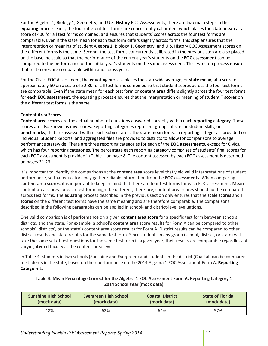For the Algebra 1, Biology 1, Geometry, and U.S. History EOC Assessments, there are two main steps in the **equating** process. First, the four different test forms are concurrently calibrated, which places the **state mean** at a score of 400 for all test forms combined, and ensures that students' scores across the four test forms are comparable. Even if the state mean for each test form differs slightly across forms, this step ensures that the interpretation or meaning of student Algebra 1, Biology 1, Geometry, and U.S. History EOC Assessment scores on the different forms is the same. Second, the test forms concurrently calibrated in the previous step are also placed on the baseline scale so that the performance of the current year's students on the **EOC assessment** can be compared to the performance of the initial year's students on the same assessment. This two-step process ensures that test scores are comparable within and across years.

For the Civics EOC Assessment, the **equating** process places the statewide average, or **state mean,** at a score of approximately 50 on a scale of 20-80 for all test forms combined so that student scores across the four test forms are comparable. Even if the state mean for each test form or **content area** differs slightly across the four test forms for each **EOC assessment**, the equating process ensures that the interpretation or meaning of student **T scores** on the different test forms is the same.

# <span id="page-10-0"></span>**Content Area Scores**

**Content area scores** are the actual number of questions answered correctly within each **reporting category**. These scores are also known as raw scores. Reporting categories represent groups of similar student skills, or **benchmarks**, that are assessed within each subject area. The **state mean** for each reporting category is provided on Individual Student Reports, and aggregated files are provided to districts to allow for comparisons to average performance statewide. There are three reporting categories for each of the **EOC assessments**, except for Civics, which has four reporting categories. The percentage each reporting category comprises of students' final scores for each EOC assessment is provided in Table 1 on page 8. The content assessed by each EOC assessment is described on pages 21-23.

It is important to identify the comparisons at the **content area** score level that yield valid interpretations of student performance, so that educators may gather reliable information from the **EOC assessments**. When comparing **content area scores**, it is important to keep in mind that there are four test forms for each EOC assessment. **Mean** content area scores for each test form might be different; therefore, content area scores should not be compared across test forms. The **equating** process described in the previous section only ensures that the **scale scores** and **T scores** on the different test forms have the same meaning and are therefore comparable. The comparisons described in the following paragraphs can be applied in school- and district-level evaluations.

One valid comparison is of performance on a given **content area score** for a specific test form between schools, districts, and the state. For example, a school's **content area** score results for Form A can be compared to other schools', districts', or the state's content area score results for Form A. District results can be compared to other district results and state results for the same test form. Since students in any group (school, district, or state) will take the same set of test questions for the same test form in a given year, their results are comparable regardless of varying **item** difficulty at the content-area level.

In Table 4, students in two schools (Sunshine and Evergreen) and students in the district (Coastal) can be compared to students in the state, based on their performance on the 2014 Algebra 1 EOC Assessment Form A, **Reporting Category** 1.

| Table 4: Mean Percentage Correct for the Algebra 1 EOC Assessment Form A, Reporting Category 1 |
|------------------------------------------------------------------------------------------------|
| 2014 School Year (mock data)                                                                   |

| <b>Sunshine High School</b> | <b>Evergreen High School</b> | <b>Coastal District</b> | <b>State of Florida</b> |
|-----------------------------|------------------------------|-------------------------|-------------------------|
| (mock data)                 | (mock data)                  | (mock data)             | (mock data)             |
| 48%                         | 62%                          | 64%                     |                         |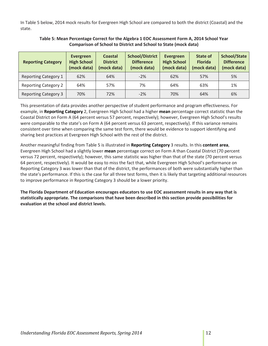In Table 5 below, 2014 mock results for Evergreen High School are compared to both the district (Coastal) and the state.

| <b>Reporting Category</b>   | Evergreen<br><b>High School</b><br>(mock data) | <b>Coastal</b><br><b>District</b><br>(mock data) | <b>School/District</b><br><b>Difference</b><br>(mock data) | <b>Evergreen</b><br><b>High School</b><br>(mock data) | State of<br><b>Florida</b><br>(mock data) | <b>School/State</b><br><b>Difference</b><br>(mock data) |
|-----------------------------|------------------------------------------------|--------------------------------------------------|------------------------------------------------------------|-------------------------------------------------------|-------------------------------------------|---------------------------------------------------------|
| <b>Reporting Category 1</b> | 62%                                            | 64%                                              | $-2%$                                                      | 62%                                                   | 57%                                       | 5%                                                      |
| <b>Reporting Category 2</b> | 64%                                            | 57%                                              | 7%                                                         | 64%                                                   | 63%                                       | 1%                                                      |
| <b>Reporting Category 3</b> | 70%                                            | 72%                                              | $-2%$                                                      | 70%                                                   | 64%                                       | 6%                                                      |

## **Table 5: Mean Percentage Correct for the Algebra 1 EOC Assessment Form A, 2014 School Year Comparison of School to District and School to State (mock data)**

This presentation of data provides another perspective of student performance and program effectiveness. For example, in **Reporting Category** 2, Evergreen High School had a higher **mean** percentage correct statistic than the Coastal District on Form A (64 percent versus 57 percent, respectively); however, Evergreen High School's results were comparable to the state's on Form A (64 percent versus 63 percent, respectively). If this variance remains consistent over time when comparing the same test form, there would be evidence to support identifying and sharing best practices at Evergreen High School with the rest of the district.

Another meaningful finding from Table 5 is illustrated in **Reporting Category** 3 results. In this **content area**, Evergreen High School had a slightly lower **mean** percentage correct on Form A than Coastal District (70 percent versus 72 percent, respectively); however, this same statistic was higher than that of the state (70 percent versus 64 percent, respectively). It would be easy to miss the fact that, while Evergreen High School's performance on Reporting Category 3 was lower than that of the district, the performances of both were substantially higher than the state's performance. If this is the case for all three test forms, then it is likely that targeting additional resources to improve performance in Reporting Category 3 should be a lower priority.

**The Florida Department of Education encourages educators to use EOC assessment results in any way that is statistically appropriate. The comparisons that have been described in this section provide possibilities for evaluation at the school and district levels.**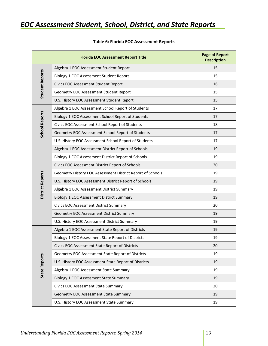# <span id="page-12-0"></span>*EOC Assessment Student, School, District, and State Reports*

|                        | <b>Florida EOC Assessment Report Title</b>                 | <b>Page of Report</b><br><b>Description</b> |
|------------------------|------------------------------------------------------------|---------------------------------------------|
|                        | Algebra 1 EOC Assessment Student Report                    | 15                                          |
|                        | Biology 1 EOC Assessment Student Report                    | 15                                          |
|                        | Civics EOC Assessment Student Report                       | 16                                          |
| <b>Student Reports</b> | Geometry EOC Assessment Student Report                     | 15                                          |
|                        | U.S. History EOC Assessment Student Report                 | 15                                          |
|                        | Algebra 1 EOC Assessment School Report of Students         | 17                                          |
| <b>School Reports</b>  | Biology 1 EOC Assessment School Report of Students         | 17                                          |
|                        | Civics EOC Assessment School Report of Students            | 18                                          |
|                        | Geometry EOC Assessment School Report of Students          | 17                                          |
|                        | U.S. History EOC Assessment School Report of Students      | 17                                          |
|                        | Algebra 1 EOC Assessment District Report of Schools        | 19                                          |
|                        | Biology 1 EOC Assessment District Report of Schools        | 19                                          |
|                        | Civics EOC Assessment District Report of Schools           | 20                                          |
|                        | Geometry History EOC Assessment District Report of Schools | 19                                          |
| District Reports       | U.S. History EOC Assessment District Report of Schools     | 19                                          |
|                        | Algebra 1 EOC Assessment District Summary                  | 19                                          |
|                        | Biology 1 EOC Assessment District Summary                  | 19                                          |
|                        | Civics EOC Assessment District Summary                     | 20                                          |
|                        | Geometry EOC Assessment District Summary                   | 19                                          |
|                        | U.S. History EOC Assessment District Summary               | 19                                          |
|                        | Algebra 1 EOC Assessment State Report of Districts         | 19                                          |
|                        | Biology 1 EOC Assessment State Report of Districts         | 19                                          |
|                        | Civics EOC Assessment State Report of Districts            | 20                                          |
|                        | Geometry EOC Assessment State Report of Districts          | 19                                          |
| <b>State Reports</b>   | U.S. History EOC Assessment State Report of Districts      | 19                                          |
|                        | Algebra 1 EOC Assessment State Summary                     | 19                                          |
|                        | Biology 1 EOC Assessment State Summary                     | 19                                          |
|                        | Civics EOC Assessment State Summary                        | 20                                          |
|                        | Geometry EOC Assessment State Summary                      | 19                                          |
|                        | U.S. History EOC Assessment State Summary                  | 19                                          |

# **Table 6: Florida EOC Assessment Reports**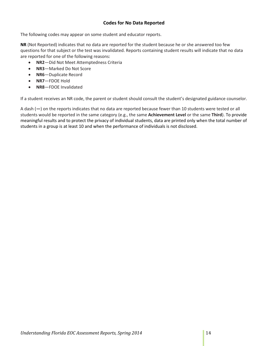# **Codes for No Data Reported**

<span id="page-13-0"></span>The following codes may appear on some student and educator reports.

**NR** (Not Reported) indicates that no data are reported for the student because he or she answered too few questions for that subject or the test was invalidated. Reports containing student results will indicate that no data are reported for one of the following reasons:

- **NR2**—Did Not Meet Attemptedness Criteria
- **NR3**—Marked Do Not Score
- **NR6**—Duplicate Record
- **NR7**—FDOE Hold
- **NR8**—FDOE Invalidated

If a student receives an NR code, the parent or student should consult the student's designated guidance counselor.

A dash (**—**) on the reports indicates that no data are reported because fewer than 10 students were tested or all students would be reported in the same category (e.g., the same **Achievement Level** or the same **Third**). To provide meaningful results and to protect the privacy of individual students, data are printed only when the total number of students in a group is at least 10 and when the performance of individuals is not disclosed.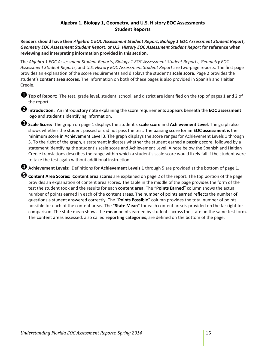# **Algebra 1, Biology 1, Geometry, and U.S. History EOC Assessments Student Reports**

<span id="page-14-0"></span>**Readers should have their** *Algebra 1 EOC Assessment Student Report***,** *Biology 1 EOC Assessment Student Report***,**  *Geometry EOC Assessment Student Report***, or** *U.S. History EOC Assessment Student Report* **for reference when reviewing and interpreting information provided in this section.**

The *Algebra 1 EOC Assessment Student Reports*, *Biology 1 EOC Assessment Student Reports*, *Geometry EOC Assessment Student Reports*, and *U.S. History EOC Assessment Student Report* are two-page reports. The first page provides an explanation of the score requirements and displays the student's **scale score**. Page 2 provides the student's **content area scores**. The information on both of these pages is also provided in Spanish and Haitian Creole.

**Top of Report:** The test, grade level, student, school, and district are identified on the top of pages <sup>1</sup> and 2 of the report.

**2** Introduction: An introductory note explaining the score requirements appears beneath the EOC assessment logo and student's identifying information.

**Scale Score:** The graph on page 1 displays the student's **scale score** and **Achievement Level**. The graph also shows whether the student passed or did not pass the test. The passing score for an **EOC assessment** is the minimum score in Achievement Level 3. The graph displays the score ranges for Achievement Levels 1 through 5. To the right of the graph, a statement indicates whether the student earned a passing score, followed by a statement identifying the student's scale score and Achievement Level. A note below the Spanish and Haitian Creole translations describes the range within which a student's scale score would likely fall if the student were to take the test again without additional instruction.

**Achievement Levels:** Definitions for **Achievement Levels** 1 through 5 are provided at the bottom of page 1.

**Content Area Scores: Content area scores** are explained on page 2 of the report. The top portion of the page provides an explanation of content area scores. The table in the middle of the page provides the form of the test the student took and the results for each **content area**. The "**Points Earned**" column shows the actual number of points earned in each of the content areas. The number of points earned reflects the number of questions a student answered correctly. The "**Points Possible**" column provides the total number of points possible for each of the content areas. The "**State Mean**" for each content area is provided on the far right for comparison. The state mean shows the **mean** points earned by students across the state on the same test form. The content areas assessed, also called **reporting categories**, are defined on the bottom of the page.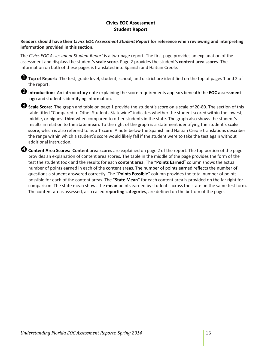# **Civics EOC Assessment Student Report**

<span id="page-15-0"></span>**Readers should have their** *Civics EOC Assessment Student Report* **for reference when reviewing and interpreting information provided in this section.**

The *Civics EOC Assessment Student Report* is a two-page report. The first page provides an explanation of the assessment and displays the student's **scale score**. Page 2 provides the student's **content area scores**. The information on both of these pages is translated into Spanish and Haitian Creole.

**Top of Report:** The test, grade level, student, school, and district are identified on the top of pages <sup>1</sup> and 2 of the report.

**Introduction:** An introductory note explaining the score requirements appears beneath the **EOC assessment** logo and student's identifying information.

**Scale Score:** The graph and table on page 1 provide the student's score on a scale of 20-80. The section of this table titled "Compared to Other Students Statewide" indicates whether the student scored within the lowest, middle, or highest **third** when compared to other students in the state. The graph also shows the student's results in relation to the **state mean**. To the right of the graph is a statement identifying the student's **scale score**, which is also referred to as a **T score**. A note below the Spanish and Haitian Creole translations describes the range within which a student's score would likely fall if the student were to take the test again without additional instruction.

**Content Area Scores: Content area scores** are explained on page 2 of the report. The top portion of the page provides an explanation of content area scores. The table in the middle of the page provides the form of the test the student took and the results for each **content area**. The "**Points Earned**" column shows the actual number of points earned in each of the content areas. The number of points earned reflects the number of questions a student answered correctly. The "**Points Possible**" column provides the total number of points possible for each of the content areas. The "**State Mean**" for each content area is provided on the far right for comparison. The state mean shows the **mean** points earned by students across the state on the same test form. The content areas assessed, also called **reporting categories**, are defined on the bottom of the page.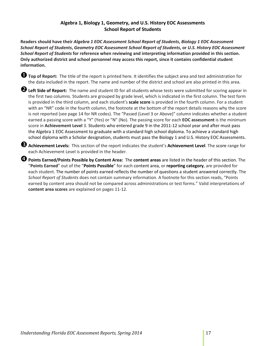# **Algebra 1, Biology 1, Geometry, and U.S. History EOC Assessments School Report of Students**

<span id="page-16-0"></span>**Readers should have their** *Algebra 1 EOC Assessment School Report of Students***,** *Biology 1 EOC Assessment School Report of Students***,** *Geometry EOC Assessment School Report of Students***, or** *U.S. History EOC Assessment School Report of Students* **for reference when reviewing and interpreting information provided in this section. Only authorized district and school personnel may access this report, since it contains confidential student information.**

**Top of Report:** The title of the report is printed here. It identifies the subject area and test administration for the data included in the report. The name and number of the district and school are also printed in this area.

**Left Side of Report:** The name and student ID for all students whose tests were submitted for scoring appear in the first two columns. Students are grouped by grade level, which is indicated in the first column. The test form is provided in the third column, and each student's **scale score** is provided in the fourth column. For a student with an "NR" code in the fourth column, the footnote at the bottom of the report details reasons why the score is not reported (see page 14 for NR codes). The "Passed (Level 3 or Above)" column indicates whether a student earned a passing score with a "Y" (Yes) or "N" (No). The passing score for each **EOC assessment** is the minimum score in **Achievement Level** 3. Students who entered grade 9 in the 2011-12 school year and after must pass the Algebra 1 EOC Assessment to graduate with a standard high school diploma. To achieve a standard high school diploma with a Scholar designation, students must pass the Biology 1 and U.S. History EOC Assessments.

**Achievement Levels:** This section of the report indicates the student's **Achievement Level**. The score range for each Achievement Level is provided in the header.

**Points Earned/Points Possible by Content Area:** The **content areas** are listed in the header of this section. The "**Points Earned**" out of the "**Points Possible**" for each content area, or **reporting category**, are provided for each student. The number of points earned reflects the number of questions a student answered correctly. The *School Report of Students* does not contain summary information. A footnote for this section reads, "Points earned by content area should not be compared across administrations or test forms." Valid interpretations of **content area scores** are explained on pages 11-12.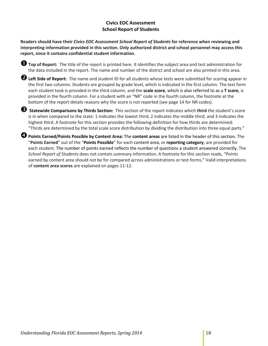# **Civics EOC Assessment School Report of Students**

<span id="page-17-0"></span>**Readers should have their** *Civics EOC Assessment School Report of Students* **for reference when reviewing and interpreting information provided in this section. Only authorized district and school personnel may access this report, since it contains confidential student information.**

**Top of Report:** The title of the report is printed here. It identifies the subject area and test administration for the data included in the report. The name and number of the district and school are also printed in this area.

**Left Side of Report:** The name and student ID for all students whose tests were submitted for scoring appear in the first two columns. Students are grouped by grade level, which is indicated in the first column. The test form each student took is provided in the third column, and the **scale score**, which is also referred to as a **T score**, is provided in the fourth column. For a student with an "NR" code in the fourth column, the footnote at the bottom of the report details reasons why the score is not reported (see page 14 for NR codes).

 **Statewide Comparisons by Thirds Section:** This section of the report indicates which **third** the student's score is in when compared to the state: 1 indicates the lowest third, 2 indicates the middle third, and 3 indicates the highest third. A footnote for this section provides the following definition for how thirds are determined: "Thirds are determined by the total scale score distribution by dividing the distribution into three equal parts."

**Points Earned/Points Possible by Content Area:** The **content areas** are listed in the header of this section. The "**Points Earned**" out of the "**Points Possible**" for each content area, or **reporting category**, are provided for each student. The number of points earned reflects the number of questions a student answered correctly. The *School Report of Students* does not contain summary information. A footnote for this section reads, "Points earned by content area should not be for compared across administrations or test forms." Valid interpretations of **content area scores** are explained on pages 11-12.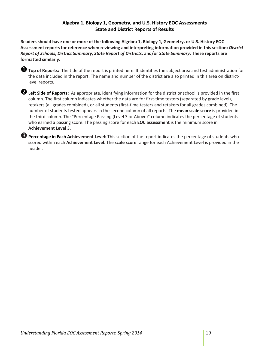# **Algebra 1, Biology 1, Geometry, and U.S. History EOC Assessments State and District Reports of Results**

<span id="page-18-0"></span>**Readers should have one or more of the following Algebra 1, Biology 1, Geometry, or U.S. History EOC Assessment reports for reference when reviewing and interpreting information provided in this section:** *District Report of Schools***,** *District Summary***,** *State Report of Districts***, and/or** *State Summary***. These reports are formatted similarly.** 



**Top of Reports:** The title of the report is printed here. It identifies the subject area and test administration for the data included in the report. The name and number of the district are also printed in this area on districtlevel reports.

**Left Side of Reports:** As appropriate, identifying information for the district or school is provided in the first column. The first column indicates whether the data are for first-time testers (separated by grade level), retakers (all grades combined), or all students (first-time testers and retakers for all grades combined). The number of students tested appears in the second column of all reports. The **mean scale score** is provided in the third column. The "Percentage Passing (Level 3 or Above)" column indicates the percentage of students who earned a passing score. The passing score for each **EOC assessment** is the minimum score in **Achievement Level** 3.

**B** Percentage in Each Achievement Level: This section of the report indicates the percentage of students who scored within each **Achievement Level**. The **scale score** range for each Achievement Level is provided in the header.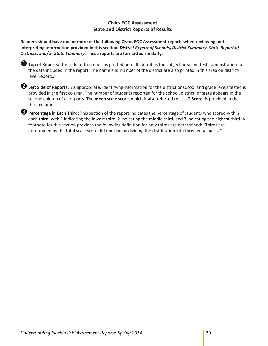# **Civics EOC Assessment State and District Reports of Results**

<span id="page-19-0"></span>**Readers should have one or more of the following Civics EOC Assessment reports when reviewing and interpreting information provided in this section:** *District Report of Schools***,** *District Summary***,** *State Report of Districts***, and/or** *State Summary***. These reports are formatted similarly.** 

| <b>O</b> Top of Reports: The title of the report is printed here. It identifies the subject area and test administration for |
|------------------------------------------------------------------------------------------------------------------------------|
| the data included in the report. The name and number of the district are also printed in this area on district-              |
| level reports.                                                                                                               |

| <b>2</b> Left Side of Reports: As appropriate, identifying information for the district or school and grade levels tested is |
|------------------------------------------------------------------------------------------------------------------------------|
| provided in the first column. The number of students reported for the school, district, or state appears in the              |
| second column of all reports. The mean scale score, which is also referred to as a T Score, is provided in the               |
| third column.                                                                                                                |

**Percentage in Each Third:** This section of the report indicates the percentage of students who scored within each third, with 1 indicating the lowest third, 2 indicating the middle third, and 3 indicating the highest third. A footnote for this section provides the following definition for how thirds are determined: "Thirds are determined by the total scale score distribution by dividing the distribution into three equal parts."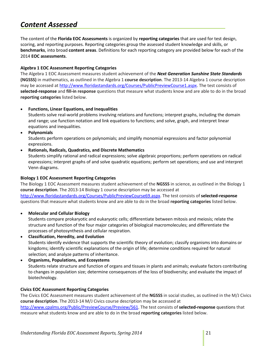# <span id="page-20-0"></span>*Content Assessed*

The content of the **Florida EOC Assessments** is organized by **reporting categories** that are used for test design, scoring, and reporting purposes. Reporting categories group the assessed student knowledge and skills, or **benchmarks**, into broad **content areas**. Definitions for each reporting category are provided below for each of the 2014 **EOC assessments**.

## <span id="page-20-1"></span>**Algebra 1 EOC Assessment Reporting Categories**

The Algebra 1 EOC Assessment measures student achievement of the *Next Generation Sunshine State Standards* **(NGSSS)** in mathematics, as outlined in the Algebra 1 **course description**. The 2013-14 Algebra 1 course description may be accessed at [http://www.floridastandards.org/Courses/PublicPreviewCourse1.aspx.](http://www.floridastandards.org/Courses/PublicPreviewCourse1.aspx) The test consists of **selected-response** and **fill-in response** questions that measure what students know and are able to do in the broad **reporting categories** listed below.

• **Functions, Linear Equations, and Inequalities**

Students solve real-world problems involving relations and functions; interpret graphs, including the domain and range; use function notation and link equations to functions; and solve, graph, and interpret linear equations and inequalities.

• **Polynomials**

Students perform operations on polynomials; and simplify monomial expressions and factor polynomial expressions.

• **Rationals, Radicals, Quadratics, and Discrete Mathematics**

Students simplify rational and radical expressions; solve algebraic proportions; perform operations on radical expressions; interpret graphs of and solve quadratic equations; perform set operations; and use and interpret Venn diagrams.

# <span id="page-20-2"></span>**Biology 1 EOC Assessment Reporting Categories**

The Biology 1 EOC Assessment measures student achievement of the **NGSSS** in science, as outlined in the Biology 1 **course description**. The 2013-14 Biology 1 course description may be accessed at [http://www.floridastandards.org/Courses/PublicPreviewCourse69.aspx.](http://www.floridastandards.org/Courses/PublicPreviewCourse69.aspx) The test consists of **selected-response** questions that measure what students know and are able to do in the broad **reporting categories** listed below.

### • **Molecular and Cellular Biology**

Students compare prokaryotic and eukaryotic cells; differentiate between mitosis and meiosis; relate the structure and function of the four major categories of biological macromolecules; and differentiate the processes of photosynthesis and cellular respiration.

- **Classification, Heredity, and Evolution** Students identify evidence that supports the scientific theory of evolution; classify organisms into domains or kingdoms; identify scientific explanations of the origin of life; determine conditions required for natural selection; and analyze patterns of inheritance.
- **Organisms, Populations, and Ecosystems** Students relate structure and function of organs and tissues in plants and animals; evaluate factors contributing to changes in population size; determine consequences of the loss of biodiversity; and evaluate the impact of biotechnology.

### <span id="page-20-3"></span>**Civics EOC Assessment Reporting Categories**

The Civics EOC Assessment measures student achievement of the **NGSSS** in social studies, as outlined in the M/J Civics **course description**. The 2013-14 M/J Civics course description may be accessed at [http://www.cpalms.org/Public/PreviewCourse/Preview/561.](http://www.cpalms.org/Public/PreviewCourse/Preview/561) The test consists of **selected-response** questions that measure what students know and are able to do in the broad **reporting categories** listed below.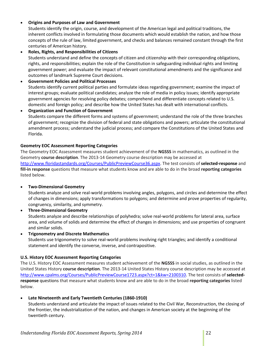# • **Origins and Purposes of Law and Government**

Students identify the origin, course, and development of the American legal and political traditions, the inherent conflicts involved in formulating those documents which would establish the nation, and how those concepts of the rule of law, limited government, and checks and balances remained constant through the first centuries of American history.

## • **Roles, Rights, and Responsibilities of Citizens**

Students understand and define the concepts of citizen and citizenship with their corresponding obligations, rights, and responsibilities; explain the role of the Constitution in safeguarding individual rights and limiting government power; and evaluate the impact of relevant constitutional amendments and the significance and outcomes of landmark Supreme Court decisions.

### • **Government Policies and Political Processes**

Students identify current political parties and formulate ideas regarding government; examine the impact of interest groups; evaluate political candidates; analyze the role of media in policy issues; identify appropriate government agencies for resolving policy debates; comprehend and differentiate concepts related to U.S. domestic and foreign policy; and describe how the United States has dealt with international conflicts.

• **Organization and Function of Government** Students compare the different forms and systems of government; understand the role of the three branches of government; recognize the division of federal and state obligations and powers; articulate the constitutional amendment process; understand the judicial process; and compare the Constitutions of the United States and Florida.

## <span id="page-21-0"></span>**Geometry EOC Assessment Reporting Categories**

The Geometry EOC Assessment measures student achievement of the **NGSSS** in mathematics, as outlined in the Geometry **course description**. The 2013-14 Geometry course description may be accessed at [http://www.floridastandards.org/Courses/PublicPreviewCourse36.aspx.](http://www.floridastandards.org/Courses/PublicPreviewCourse36.aspx) The test consists of **selected-response** and **fill-in response** questions that measure what students know and are able to do in the broad **reporting categories** listed below.

# • **Two-Dimensional Geometry**

Students analyze and solve real-world problems involving angles, polygons, and circles and determine the effect of changes in dimensions; apply transformations to polygons; and determine and prove properties of regularity, congruency, similarity, and symmetry.

• **Three-Dimensional Geometry** Students analyze and describe relationships of polyhedra; solve real-world problems for lateral area, surface area, and volume of solids and determine the effect of changes in dimensions; and use properties of congruent and similar solids.

• **Trigonometry and Discrete Mathematics**

Students use trigonometry to solve real-world problems involving right triangles; and identify a conditional statement and identify the converse, inverse, and contrapositive.

# <span id="page-21-1"></span>**U.S. History EOC Assessment Reporting Categories**

The U.S. History EOC Assessment measures student achievement of the **NGSSS** in social studies, as outlined in the United States History **course description**. The 2013-14 United States History course description may be accessed at [http://www.cpalms.org/Courses/PublicPreviewCourse1723.aspx?ct=1&kw=2100310.](http://www.cpalms.org/Courses/PublicPreviewCourse1723.aspx?ct=1&kw=2100310) The test consists of **selectedresponse** questions that measure what students know and are able to do in the broad **reporting categories** listed below.

• **Late Nineteenth and Early Twentieth Centuries (1860-1910)**

Students understand and articulate the impact of issues related to the Civil War, Reconstruction, the closing of the frontier, the industrialization of the nation, and changes in American society at the beginning of the twentieth century.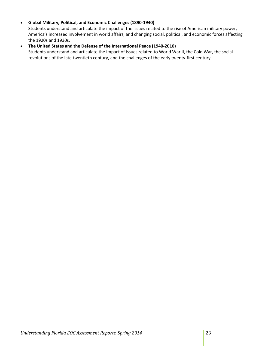# • **Global Military, Political, and Economic Challenges (1890-1940)**

Students understand and articulate the impact of the issues related to the rise of American military power, America's increased involvement in world affairs, and changing social, political, and economic forces affecting the 1920s and 1930s.

# • **The United States and the Defense of the International Peace (1940-2010)**

Students understand and articulate the impact of issues related to World War II, the Cold War, the social revolutions of the late twentieth century, and the challenges of the early twenty-first century.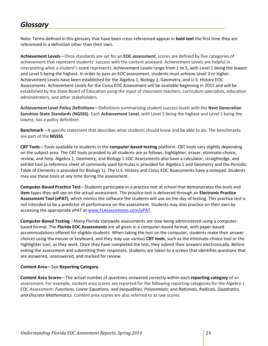# <span id="page-23-0"></span>*Glossary*

Note: Terms defined in this glossary that have been cross-referenced appear in **bold text** the first time they are referenced in a definition other than their own.

**Achievement Levels**—Once standards are set for an **EOC assessment**, scores are defined by five categories of achievement that represent students' success with the content assessed. Achievement Levels are helpful in interpreting what a student's score represents. Achievement Levels range from 1 to 5, with Level 1 being the lowest and Level 5 being the highest. In order to pass an EOC assessment, students must achieve Level 3 or higher. Achievement Levels have been established for the Algebra 1, Biology 1, Geometry, and U.S. History EOC Assessments. Achievement Levels for the Civics EOC Assessment will be available beginning in 2015 and will be established by the State Board of Education using the input of classroom teachers, curriculum specialists, education administrators, and other stakeholders.

**Achievement Level Policy Definitions**—Definitions summarizing student success levels with the **Next Generation Sunshine State Standards (NGSSS)**. Each **Achievement Level**, with Level 5 being the highest and Level 1 being the lowest, has a policy definition.

**Benchmark**—A specific statement that describes what students should know and be able to do. The benchmarks are part of the **NGSSS**.

**CBT Tools**—Tools available to students in the **computer-based testing** platform. CBT tools vary slightly depending on the subject area. The CBT tools provided to all students are as follows: highlighter, eraser, eliminate-choice, review, and help. Algebra 1, Geometry, and Biology 1 EOC Assessments also have a calculator, straightedge, and exhibit tool (a reference sheet of commonly used formulas is provided for Algebra 1 and Geometry and the Periodic Table of Elements is provided for Biology 1). The U.S. History and Civics EOC Assessments have a notepad. Students may use these tools at any time during the assessment.

**Computer-Based Practice Test**—Students participate in a practice test at school that demonstrates the tools and **item** types they will see on the actual assessment. The practice test is delivered through an **Electronic Practice Assessment Tool (ePAT)**, which mimics the software the students will use on the day of testing. This practice test is not intended to be a predictor of performance on the assessment. Students may also practice on their own by accessing the appropriate ePAT at [www.FLAssessments.com/ePAT.](http://www.flassessments.com/ePAT)

**Computer-Based Testing**—Many Florida statewide assessments are now being administered using a computerbased format. The **Florida EOC Assessments** are all given in a computer-based format, with paper-based accommodations offered for eligible students. When taking the test on the computer, students make their answer choices using the mouse or keyboard, and they may use various **CBT tools**, such as the eliminate-choice tool or the highlighter tool, as they work. Once they have completed the test, they submit their answers electronically. Before exiting the assessment and submitting their responses, students are taken to a screen that identifies questions that are answered, unanswered, and marked for review.

# **Content Area**—See **Reporting Category**.

**Content Area Scores**—The actual number of questions answered correctly within each **reporting category** of an assessment. For example, content area scores are reported for the following reporting categories for the Algebra 1 EOC Assessment: *Functions, Linear Equations, and Inequalities; Polynomials;* and *Rationals, Radicals, Quadratics, and Discrete Mathematics*. Content area scores are also referred to as raw scores.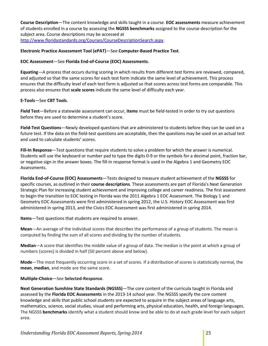**Course Description**—The content knowledge and skills taught in a course. **EOC assessments** measure achievement of students enrolled in a course by assessing the **NGSSS benchmarks** assigned to the course description for the subject area. Course descriptions may be accessed at

[http://www.floridastandards.org/Courses/CourseDescriptionSearch.aspx.](http://www.floridastandards.org/Courses/CourseDescriptionSearch.aspx)

# **Electronic Practice Assessment Tool (ePAT)**—See **Computer-Based Practice Test**.

# **EOC Assessment**—See **Florida End-of-Course (EOC) Assessments**.

**Equating**—A process that occurs during scoring in which results from different test forms are reviewed, compared, and adjusted so that the same scores for each test form indicate the same level of achievement. This process ensures that the difficulty level of each test form is adjusted so that scores across test forms are comparable. This process also ensures that **scale scores** indicate the same level of difficulty each year.

# **E-Tools**—See **CBT Tools**.

**Field Test**—Before a statewide assessment can occur, **items** must be field-tested in order to try out questions before they are used to determine a student's score.

**Field-Test Questions**—Newly developed questions that are administered to students before they can be used on a future test. If the data on the field-test questions are acceptable, then the questions may be used on an actual test and used to calculate students' scores.

**Fill-In Response**—Test questions that require students to solve a problem for which the answer is numerical. Students will use the keyboard or number pad to type the digits 0-9 or the symbols for a decimal point, fraction bar, or negative sign in the answer boxes. The fill-in response format is used in the Algebra 1 and Geometry EOC Assessments.

**Florida End-of-Course (EOC) Assessments**—Tests designed to measure student achievement of the **NGSSS** for specific courses, as outlined in their **course descriptions**. These assessments are part of Florida's Next Generation Strategic Plan for increasing student achievement and improving college and career readiness. The first assessment to begin the transition to EOC testing in Florida was the 2011 Algebra 1 EOC Assessment. The Biology 1 and Geometry EOC Assessments were first administered in spring 2012, the U.S. History EOC Assessment was first administered in spring 2013, and the Civics EOC Assessment was first administered in spring 2014.

**Items**—Test questions that students are required to answer.

**Mean**—An average of the individual scores that describes the performance of a group of students. The mean is computed by finding the sum of all scores and dividing by the number of students.

**Median**—A score that identifies the middle value of a group of data. The median is the point at which a group of numbers (scores) is divided in half (50 percent above and below).

**Mode**—The most frequently occurring score in a set of scores. If a distribution of scores is statistically normal, the **mean**, **median**, and mode are the same score.

**Multiple-Choice**—See **Selected-Response**.

**Next Generation Sunshine State Standards (NGSSS)**—The core content of the curricula taught in Florida and assessed by the **Florida EOC Assessments** in the 2013-14 school year. The NGSSS specify the core content knowledge and skills that public school students are expected to acquire in the subject areas of language arts, mathematics, science, social studies, visual and performing arts, physical education, health, and foreign languages. The NGSSS **benchmarks** identify what a student should know and be able to do at each grade level for each subject area.